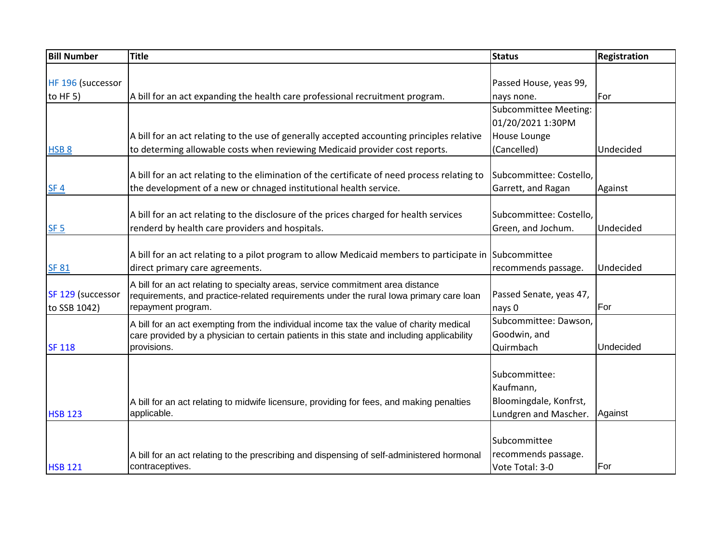| <b>Bill Number</b> | <b>Title</b>                                                                                 | <b>Status</b>                | Registration |
|--------------------|----------------------------------------------------------------------------------------------|------------------------------|--------------|
|                    |                                                                                              |                              |              |
| HF 196 (successor  |                                                                                              | Passed House, yeas 99,       |              |
| to $HF(5)$         | A bill for an act expanding the health care professional recruitment program.                | nays none.                   | For          |
|                    |                                                                                              | <b>Subcommittee Meeting:</b> |              |
|                    |                                                                                              | 01/20/2021 1:30PM            |              |
|                    | A bill for an act relating to the use of generally accepted accounting principles relative   | House Lounge                 |              |
| HSB <sub>8</sub>   | to determing allowable costs when reviewing Medicaid provider cost reports.                  | (Cancelled)                  | Undecided    |
|                    |                                                                                              |                              |              |
|                    | A bill for an act relating to the elimination of the certificate of need process relating to | Subcommittee: Costello,      |              |
| SF <sub>4</sub>    | the development of a new or chnaged institutional health service.                            | Garrett, and Ragan           | Against      |
|                    |                                                                                              |                              |              |
|                    | A bill for an act relating to the disclosure of the prices charged for health services       | Subcommittee: Costello,      |              |
| SF <sub>5</sub>    | renderd by health care providers and hospitals.                                              | Green, and Jochum.           | Undecided    |
|                    |                                                                                              |                              |              |
|                    | A bill for an act relating to a pilot program to allow Medicaid members to participate in    | Subcommittee                 |              |
| <b>SF 81</b>       | direct primary care agreements.                                                              | recommends passage.          | Undecided    |
|                    | A bill for an act relating to specialty areas, service commitment area distance              |                              |              |
| SF 129 (successor  | requirements, and practice-related requirements under the rural lowa primary care loan       | Passed Senate, yeas 47,      |              |
| to SSB 1042)       | repayment program.                                                                           | nays 0                       | For          |
|                    | A bill for an act exempting from the individual income tax the value of charity medical      | Subcommittee: Dawson,        |              |
|                    | care provided by a physician to certain patients in this state and including applicability   | Goodwin, and                 |              |
| <b>SF 118</b>      | provisions.                                                                                  | Quirmbach                    | Undecided    |
|                    |                                                                                              |                              |              |
|                    |                                                                                              | Subcommittee:                |              |
|                    |                                                                                              | Kaufmann,                    |              |
|                    | A bill for an act relating to midwife licensure, providing for fees, and making penalties    | Bloomingdale, Konfrst,       |              |
| <b>HSB 123</b>     | applicable.                                                                                  | Lundgren and Mascher.        | Against      |
|                    |                                                                                              |                              |              |
|                    |                                                                                              | Subcommittee                 |              |
|                    | A bill for an act relating to the prescribing and dispensing of self-administered hormonal   | recommends passage.          |              |
| <b>HSB 121</b>     | contraceptives.                                                                              | Vote Total: 3-0              | For          |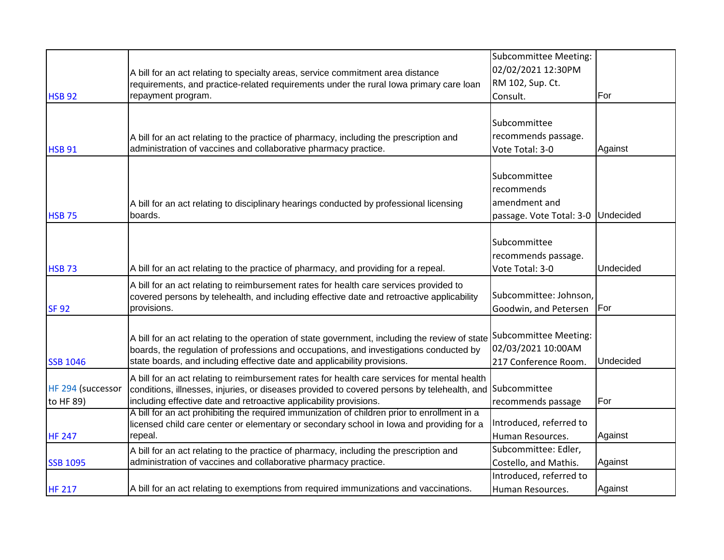|                   |                                                                                                                                                                                          | <b>Subcommittee Meeting:</b>       |           |
|-------------------|------------------------------------------------------------------------------------------------------------------------------------------------------------------------------------------|------------------------------------|-----------|
|                   | A bill for an act relating to specialty areas, service commitment area distance                                                                                                          | 02/02/2021 12:30PM                 |           |
|                   | requirements, and practice-related requirements under the rural lowa primary care loan                                                                                                   | RM 102, Sup. Ct.                   |           |
| <b>HSB 92</b>     | repayment program.                                                                                                                                                                       | Consult.                           | For       |
|                   |                                                                                                                                                                                          |                                    |           |
|                   |                                                                                                                                                                                          | Subcommittee                       |           |
|                   | A bill for an act relating to the practice of pharmacy, including the prescription and                                                                                                   | recommends passage.                |           |
| <b>HSB 91</b>     | administration of vaccines and collaborative pharmacy practice.                                                                                                                          | Vote Total: 3-0                    | Against   |
|                   |                                                                                                                                                                                          |                                    |           |
|                   |                                                                                                                                                                                          | Subcommittee                       |           |
|                   |                                                                                                                                                                                          | recommends                         |           |
|                   | A bill for an act relating to disciplinary hearings conducted by professional licensing                                                                                                  | amendment and                      |           |
| <b>HSB 75</b>     | boards.                                                                                                                                                                                  | passage. Vote Total: 3-0 Undecided |           |
|                   |                                                                                                                                                                                          |                                    |           |
|                   |                                                                                                                                                                                          | Subcommittee                       |           |
|                   |                                                                                                                                                                                          | recommends passage.                |           |
| <b>HSB 73</b>     | A bill for an act relating to the practice of pharmacy, and providing for a repeal.                                                                                                      | Vote Total: 3-0                    | Undecided |
|                   | A bill for an act relating to reimbursement rates for health care services provided to                                                                                                   |                                    |           |
|                   | covered persons by telehealth, and including effective date and retroactive applicability                                                                                                | Subcommittee: Johnson,             |           |
| <b>SF 92</b>      | provisions.                                                                                                                                                                              | Goodwin, and Petersen              | For       |
|                   |                                                                                                                                                                                          |                                    |           |
|                   | A bill for an act relating to the operation of state government, including the review of state                                                                                           | Subcommittee Meeting:              |           |
|                   | boards, the regulation of professions and occupations, and investigations conducted by                                                                                                   | 02/03/2021 10:00AM                 |           |
| <b>SSB 1046</b>   | state boards, and including effective date and applicability provisions.                                                                                                                 | 217 Conference Room.               | Undecided |
|                   | A bill for an act relating to reimbursement rates for health care services for mental health                                                                                             |                                    |           |
| HF 294 (successor | conditions, illnesses, injuries, or diseases provided to covered persons by telehealth, and Subcommittee                                                                                 |                                    |           |
| to HF 89)         | including effective date and retroactive applicability provisions.                                                                                                                       | recommends passage                 | For       |
|                   | A bill for an act prohibiting the required immunization of children prior to enrollment in a<br>licensed child care center or elementary or secondary school in lowa and providing for a | Introduced, referred to            |           |
| <b>HF 247</b>     | repeal.                                                                                                                                                                                  | Human Resources.                   | Against   |
|                   | A bill for an act relating to the practice of pharmacy, including the prescription and                                                                                                   | Subcommittee: Edler,               |           |
| <b>SSB 1095</b>   | administration of vaccines and collaborative pharmacy practice.                                                                                                                          | Costello, and Mathis.              | Against   |
|                   |                                                                                                                                                                                          | Introduced, referred to            |           |
| <b>HF 217</b>     | A bill for an act relating to exemptions from required immunizations and vaccinations.                                                                                                   | Human Resources.                   | Against   |
|                   |                                                                                                                                                                                          |                                    |           |